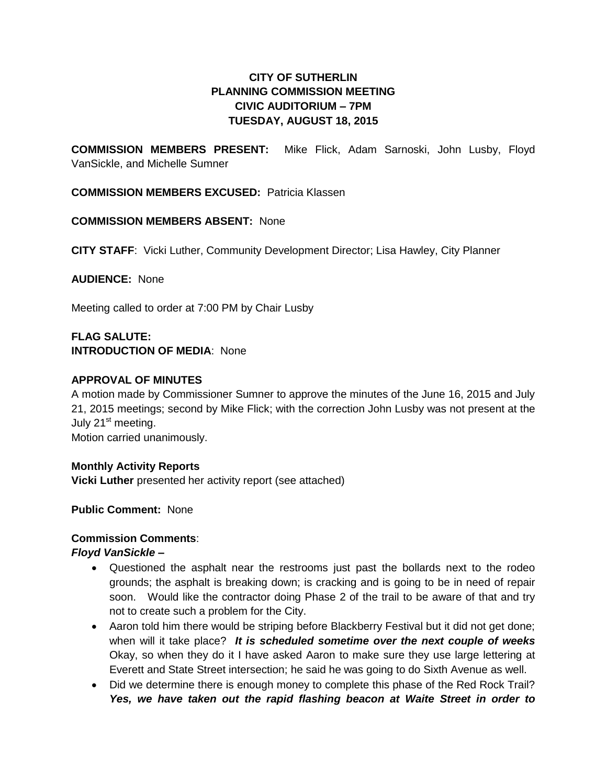# **CITY OF SUTHERLIN PLANNING COMMISSION MEETING CIVIC AUDITORIUM – 7PM TUESDAY, AUGUST 18, 2015**

**COMMISSION MEMBERS PRESENT:** Mike Flick, Adam Sarnoski, John Lusby, Floyd VanSickle, and Michelle Sumner

**COMMISSION MEMBERS EXCUSED:** Patricia Klassen

**COMMISSION MEMBERS ABSENT:** None

**CITY STAFF**: Vicki Luther, Community Development Director; Lisa Hawley, City Planner

**AUDIENCE:** None

Meeting called to order at 7:00 PM by Chair Lusby

# **FLAG SALUTE: INTRODUCTION OF MEDIA**: None

## **APPROVAL OF MINUTES**

A motion made by Commissioner Sumner to approve the minutes of the June 16, 2015 and July 21, 2015 meetings; second by Mike Flick; with the correction John Lusby was not present at the July 21<sup>st</sup> meeting.

Motion carried unanimously.

## **Monthly Activity Reports**

**Vicki Luther** presented her activity report (see attached)

**Public Comment:** None

## **Commission Comments**:

## *Floyd VanSickle –*

- Questioned the asphalt near the restrooms just past the bollards next to the rodeo grounds; the asphalt is breaking down; is cracking and is going to be in need of repair soon. Would like the contractor doing Phase 2 of the trail to be aware of that and try not to create such a problem for the City.
- Aaron told him there would be striping before Blackberry Festival but it did not get done; when will it take place? *It is scheduled sometime over the next couple of weeks*  Okay, so when they do it I have asked Aaron to make sure they use large lettering at Everett and State Street intersection; he said he was going to do Sixth Avenue as well.
- Did we determine there is enough money to complete this phase of the Red Rock Trail? *Yes, we have taken out the rapid flashing beacon at Waite Street in order to*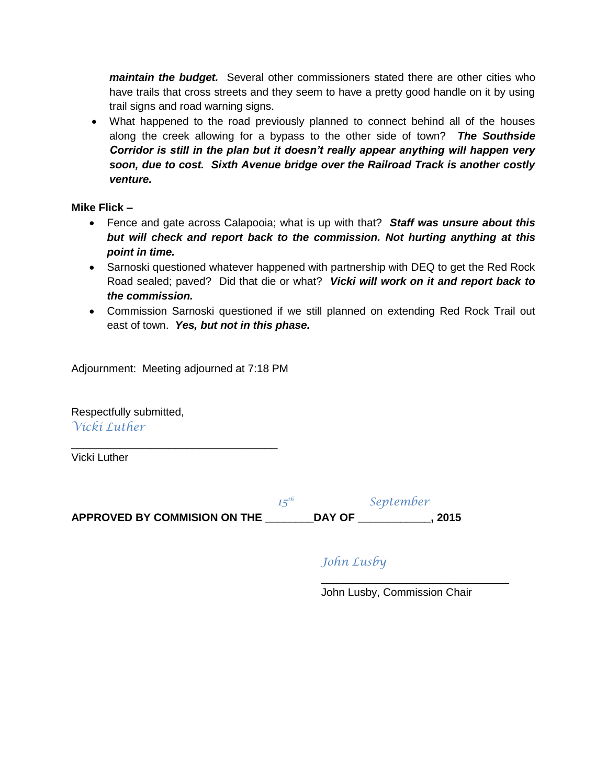*maintain the budget.* Several other commissioners stated there are other cities who have trails that cross streets and they seem to have a pretty good handle on it by using trail signs and road warning signs.

 What happened to the road previously planned to connect behind all of the houses along the creek allowing for a bypass to the other side of town?*The Southside Corridor is still in the plan but it doesn't really appear anything will happen very soon, due to cost. Sixth Avenue bridge over the Railroad Track is another costly venture.*

# **Mike Flick –**

- Fence and gate across Calapooia; what is up with that? *Staff was unsure about this but will check and report back to the commission. Not hurting anything at this point in time.*
- Sarnoski questioned whatever happened with partnership with DEQ to get the Red Rock Road sealed; paved? Did that die or what? *Vicki will work on it and report back to the commission.*
- Commission Sarnoski questioned if we still planned on extending Red Rock Trail out east of town. *Yes, but not in this phase.*

Adjournment: Meeting adjourned at 7:18 PM

\_\_\_\_\_\_\_\_\_\_\_\_\_\_\_\_\_\_\_\_\_\_\_\_\_\_\_\_\_\_\_\_\_\_

Respectfully submitted, *Vicki Luther*

Vicki Luther

 $15^{th}$  *September* **APPROVED BY COMMISION ON THE \_\_\_\_\_\_\_\_DAY OF \_\_\_\_\_\_\_\_\_\_\_\_, 2015**

# *John Lusby*

John Lusby, Commission Chair

\_\_\_\_\_\_\_\_\_\_\_\_\_\_\_\_\_\_\_\_\_\_\_\_\_\_\_\_\_\_\_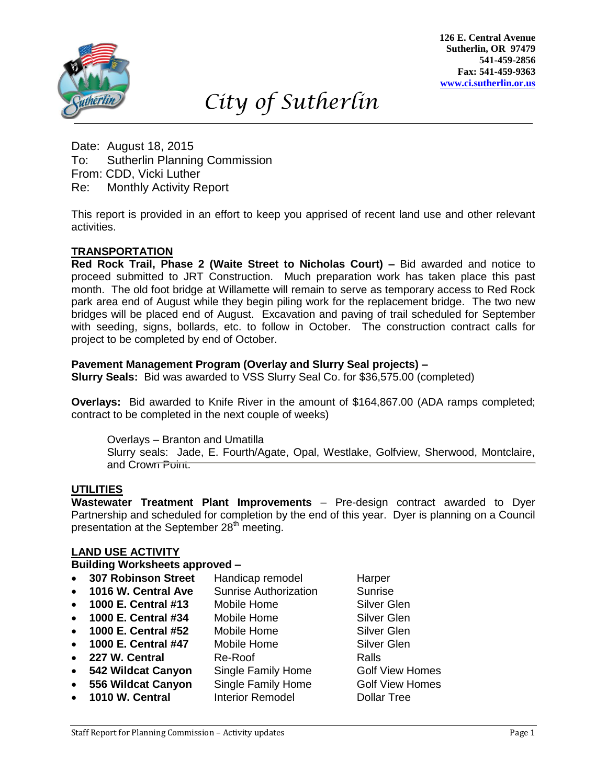

**126 E. Central Avenue Sutherlin, OR 97479 541-459-2856 Fax: 541-459-9363 [www.ci.sutherlin.or.us](http://www.ci.sutherlin.or.us/)**

# *City of Sutherlin*

Date: August 18, 2015 To: Sutherlin Planning Commission From: CDD, Vicki Luther Re: Monthly Activity Report

This report is provided in an effort to keep you apprised of recent land use and other relevant activities. *Dd*

# **TRANSPORTATION**

**Red Rock Trail, Phase 2 (Waite Street to Nicholas Court) –** Bid awarded and notice to proceed submitted to JRT Construction. Much preparation work has taken place this past month. The old foot bridge at Willamette will remain to serve as temporary access to Red Rock park area end of August while they begin piling work for the replacement bridge. The two new bridges will be placed end of August. Excavation and paving of trail scheduled for September<br>with seeding, signs, bollards, etc. to follow in October...The construction contract calls for with seeding, signs, bollards, etc. to follow in October. The construction contract calls for project to be completed by end of October.

### **Pavement Management Program (Overlay and Slurry Seal projects) –**

**Slurry Seals:** Bid was awarded to VSS Slurry Seal Co. for \$36,575.00 (completed)

**Overlays:** Bid awarded to Knife River in the amount of \$164,867.00 (ADA ramps completed; *D* contract to be completed in the next couple of weeks)

Overlays – Branton and Umatilla *jfjdkdl*

Slurry seals: Jade, E. Fourth/Agate, Opal, Westlake, Golfview, Sherwood, Montclaire, and Crown Point.

# **UTILITIES**

**Wastewater Treatment Plant Improvements** – Pre-design contract awarded to Dyer Partnership and scheduled for completion by the end of this year. Dyer is planning on a Council presentation at the September 28<sup>th</sup> meeting.

## **LAND USE ACTIVITY**

#### **Building Worksheets approved –**

| <b>307 Robinson Street</b>      | Handicap remodel             | Harper                 |  |
|---------------------------------|------------------------------|------------------------|--|
| 1016 W. Central Ave             | <b>Sunrise Authorization</b> | Sunrise                |  |
| 1000 E. Central #13             | Mobile Home                  | <b>Silver Glen</b>     |  |
| 1000 E. Central #34             | Mobile Home                  | <b>Silver Glen</b>     |  |
| 1000 E. Central #52             | Mobile Home                  | Silver Glen            |  |
| 1000 E. Central #47             | Mobile Home                  | <b>Silver Glen</b>     |  |
| 227 W. Central                  | Re-Roof                      | Ralls                  |  |
| 542 Wildcat Canyon<br>$\bullet$ | Single Family Home           | <b>Golf View Homes</b> |  |
| 556 Wildcat Canyon              | Single Family Home           | <b>Golf View Homes</b> |  |
| • 1010 W. Central               | <b>Interior Remodel</b>      | <b>Dollar Tree</b>     |  |
|                                 |                              |                        |  |